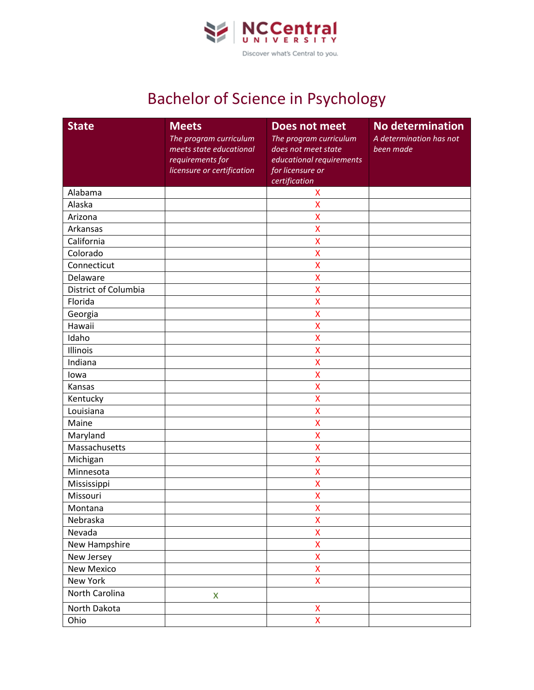

## Bachelor of Science in Psychology

| <b>State</b>         | <b>Meets</b><br>The program curriculum<br>meets state educational<br>requirements for<br>licensure or certification | <b>Does not meet</b><br>The program curriculum<br>does not meet state<br>educational requirements<br>for licensure or<br>certification | No determination<br>A determination has not<br>been made |
|----------------------|---------------------------------------------------------------------------------------------------------------------|----------------------------------------------------------------------------------------------------------------------------------------|----------------------------------------------------------|
| Alabama              |                                                                                                                     | X                                                                                                                                      |                                                          |
| Alaska               |                                                                                                                     | $\mathsf{\overline{X}}$                                                                                                                |                                                          |
| Arizona              |                                                                                                                     | X                                                                                                                                      |                                                          |
| Arkansas             |                                                                                                                     | X                                                                                                                                      |                                                          |
| California           |                                                                                                                     | X                                                                                                                                      |                                                          |
| Colorado             |                                                                                                                     | X                                                                                                                                      |                                                          |
| Connecticut          |                                                                                                                     | X                                                                                                                                      |                                                          |
| Delaware             |                                                                                                                     | X                                                                                                                                      |                                                          |
| District of Columbia |                                                                                                                     | $\mathsf{X}$                                                                                                                           |                                                          |
| Florida              |                                                                                                                     | X                                                                                                                                      |                                                          |
| Georgia              |                                                                                                                     | X                                                                                                                                      |                                                          |
| Hawaii               |                                                                                                                     | X                                                                                                                                      |                                                          |
| Idaho                |                                                                                                                     | $\mathsf{\overline{X}}$                                                                                                                |                                                          |
| Illinois             |                                                                                                                     | X                                                                                                                                      |                                                          |
| Indiana              |                                                                                                                     | X                                                                                                                                      |                                                          |
| lowa                 |                                                                                                                     | $\mathsf{\overline{X}}$                                                                                                                |                                                          |
| Kansas               |                                                                                                                     | X                                                                                                                                      |                                                          |
| Kentucky             |                                                                                                                     | X                                                                                                                                      |                                                          |
| Louisiana            |                                                                                                                     | $\overline{\mathsf{x}}$                                                                                                                |                                                          |
| Maine                |                                                                                                                     | $\mathsf{\overline{X}}$                                                                                                                |                                                          |
| Maryland             |                                                                                                                     | X                                                                                                                                      |                                                          |
| Massachusetts        |                                                                                                                     | X                                                                                                                                      |                                                          |
| Michigan             |                                                                                                                     | X                                                                                                                                      |                                                          |
| Minnesota            |                                                                                                                     | X                                                                                                                                      |                                                          |
| Mississippi          |                                                                                                                     | X                                                                                                                                      |                                                          |
| Missouri             |                                                                                                                     | X                                                                                                                                      |                                                          |
| Montana              |                                                                                                                     | X                                                                                                                                      |                                                          |
| Nebraska             |                                                                                                                     | X                                                                                                                                      |                                                          |
| Nevada               |                                                                                                                     | X                                                                                                                                      |                                                          |
| New Hampshire        |                                                                                                                     | $\bar{\mathsf{X}}$                                                                                                                     |                                                          |
| New Jersey           |                                                                                                                     | X                                                                                                                                      |                                                          |
| New Mexico           |                                                                                                                     | $\bar{\mathsf{X}}$                                                                                                                     |                                                          |
| New York             |                                                                                                                     | $\bar{\mathsf{X}}$                                                                                                                     |                                                          |
| North Carolina       | X                                                                                                                   |                                                                                                                                        |                                                          |
| North Dakota         |                                                                                                                     | X                                                                                                                                      |                                                          |
| Ohio                 |                                                                                                                     | $\overline{\mathsf{X}}$                                                                                                                |                                                          |